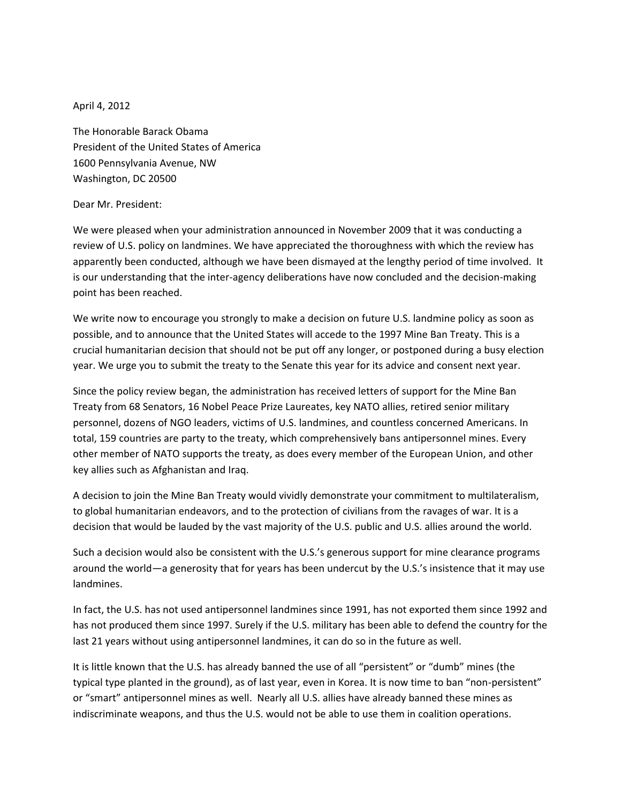April 4, 2012

The Honorable Barack Obama President of the United States of America 1600 Pennsylvania Avenue, NW Washington, DC 20500

## Dear Mr. President:

We were pleased when your administration announced in November 2009 that it was conducting a review of U.S. policy on landmines. We have appreciated the thoroughness with which the review has apparently been conducted, although we have been dismayed at the lengthy period of time involved. It is our understanding that the inter-agency deliberations have now concluded and the decision-making point has been reached.

We write now to encourage you strongly to make a decision on future U.S. landmine policy as soon as possible, and to announce that the United States will accede to the 1997 Mine Ban Treaty. This is a crucial humanitarian decision that should not be put off any longer, or postponed during a busy election year. We urge you to submit the treaty to the Senate this year for its advice and consent next year.

Since the policy review began, the administration has received letters of support for the Mine Ban Treaty from 68 Senators, 16 Nobel Peace Prize Laureates, key NATO allies, retired senior military personnel, dozens of NGO leaders, victims of U.S. landmines, and countless concerned Americans. In total, 159 countries are party to the treaty, which comprehensively bans antipersonnel mines. Every other member of NATO supports the treaty, as does every member of the European Union, and other key allies such as Afghanistan and Iraq.

A decision to join the Mine Ban Treaty would vividly demonstrate your commitment to multilateralism, to global humanitarian endeavors, and to the protection of civilians from the ravages of war. It is a decision that would be lauded by the vast majority of the U.S. public and U.S. allies around the world.

Such a decision would also be consistent with the U.S.'s generous support for mine clearance programs around the world—a generosity that for years has been undercut by the U.S.'s insistence that it may use landmines.

In fact, the U.S. has not used antipersonnel landmines since 1991, has not exported them since 1992 and has not produced them since 1997. Surely if the U.S. military has been able to defend the country for the last 21 years without using antipersonnel landmines, it can do so in the future as well.

It is little known that the U.S. has already banned the use of all "persistent" or "dumb" mines (the typical type planted in the ground), as of last year, even in Korea. It is now time to ban "non-persistent" or "smart" antipersonnel mines as well. Nearly all U.S. allies have already banned these mines as indiscriminate weapons, and thus the U.S. would not be able to use them in coalition operations.